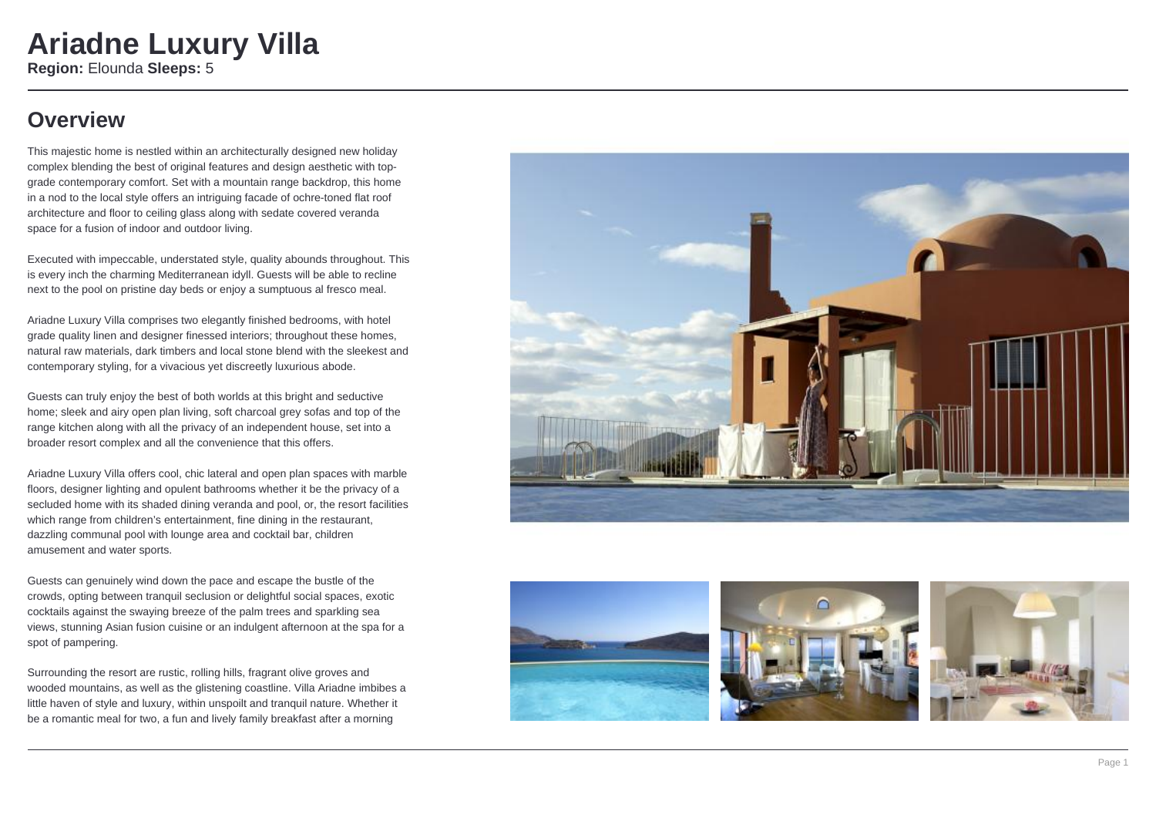#### **Overview**

This majestic home is nestled within an architecturally designed new holiday complex blending the best of original features and design aesthetic with topgrade contemporary comfort. Set with a mountain range backdrop, this home in a nod to the local style offers an intriguing facade of ochre-toned flat roof architecture and floor to ceiling glass along with sedate covered veranda space for a fusion of indoor and outdoor living.

Executed with impeccable, understated style, quality abounds throughout. This is every inch the charming Mediterranean idyll. Guests will be able to recline next to the pool on pristine day beds or enjoy a sumptuous al fresco meal.

Ariadne Luxury Villa comprises two elegantly finished bedrooms, with hotel grade quality linen and designer finessed interiors; throughout these homes, natural raw materials, dark timbers and local stone blend with the sleekest and contemporary styling, for a vivacious yet discreetly luxurious abode.

Guests can truly enjoy the best of both worlds at this bright and seductive home; sleek and airy open plan living, soft charcoal grey sofas and top of the range kitchen along with all the privacy of an independent house, set into a broader resort complex and all the convenience that this offers.

Ariadne Luxury Villa offers cool, chic lateral and open plan spaces with marble floors, designer lighting and opulent bathrooms whether it be the privacy of a secluded home with its shaded dining veranda and pool, or, the resort facilities which range from children's entertainment, fine dining in the restaurant, dazzling communal pool with lounge area and cocktail bar, children amusement and water sports.

Guests can genuinely wind down the pace and escape the bustle of the crowds, opting between tranquil seclusion or delightful social spaces, exotic cocktails against the swaying breeze of the palm trees and sparkling sea views, stunning Asian fusion cuisine or an indulgent afternoon at the spa for a spot of pampering.

Surrounding the resort are rustic, rolling hills, fragrant olive groves and wooded mountains, as well as the glistening coastline. Villa Ariadne imbibes a little haven of style and luxury, within unspoilt and tranquil nature. Whether it be a romantic meal for two, a fun and lively family breakfast after a morning







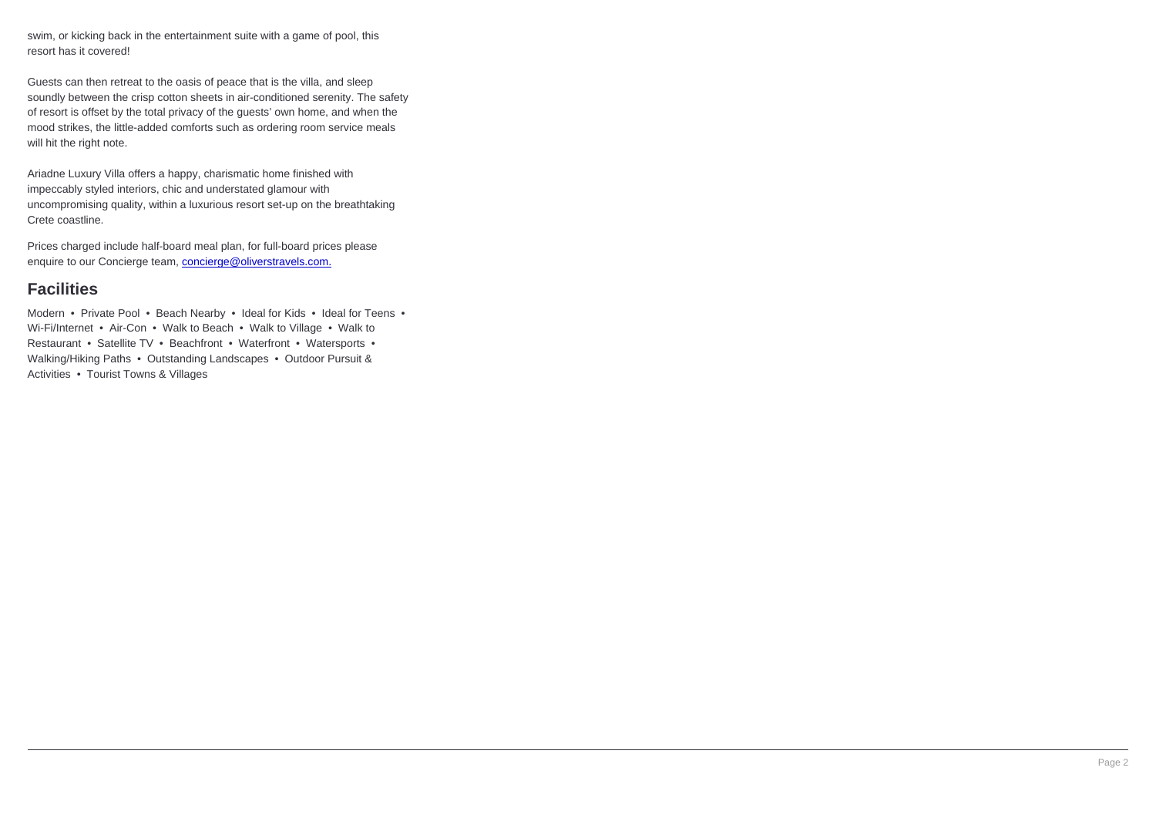swim, or kicking back in the entertainment suite with a game of pool, this resort has it covered!

Guests can then retreat to the oasis of peace that is the villa, and sleep soundly between the crisp cotton sheets in air-conditioned serenity. The safety of resort is offset by the total privacy of the guests' own home, and when the mood strikes, the little-added comforts such as ordering room service meals will hit the right note.

Ariadne Luxury Villa offers a happy, charismatic home finished with impeccably styled interiors, chic and understated glamour with uncompromising quality, within a luxurious resort set-up on the breathtaking Crete coastline.

Prices charged include half-board meal plan, for full-board prices please enquire to our Concierge team, concierge@oliverstravels.com.

#### **Facilities**

Modern • Private Pool • Beach Nearby • Ideal for Kids • Ideal for Teens • Wi-Fi/Internet • Air-Con • Walk to Beach • Walk to Village • Walk to Restaurant • Satellite TV • Beachfront • Waterfront • Watersports • Walking/Hiking Paths • Outstanding Landscapes • Outdoor Pursuit & Activities • Tourist Towns & Villages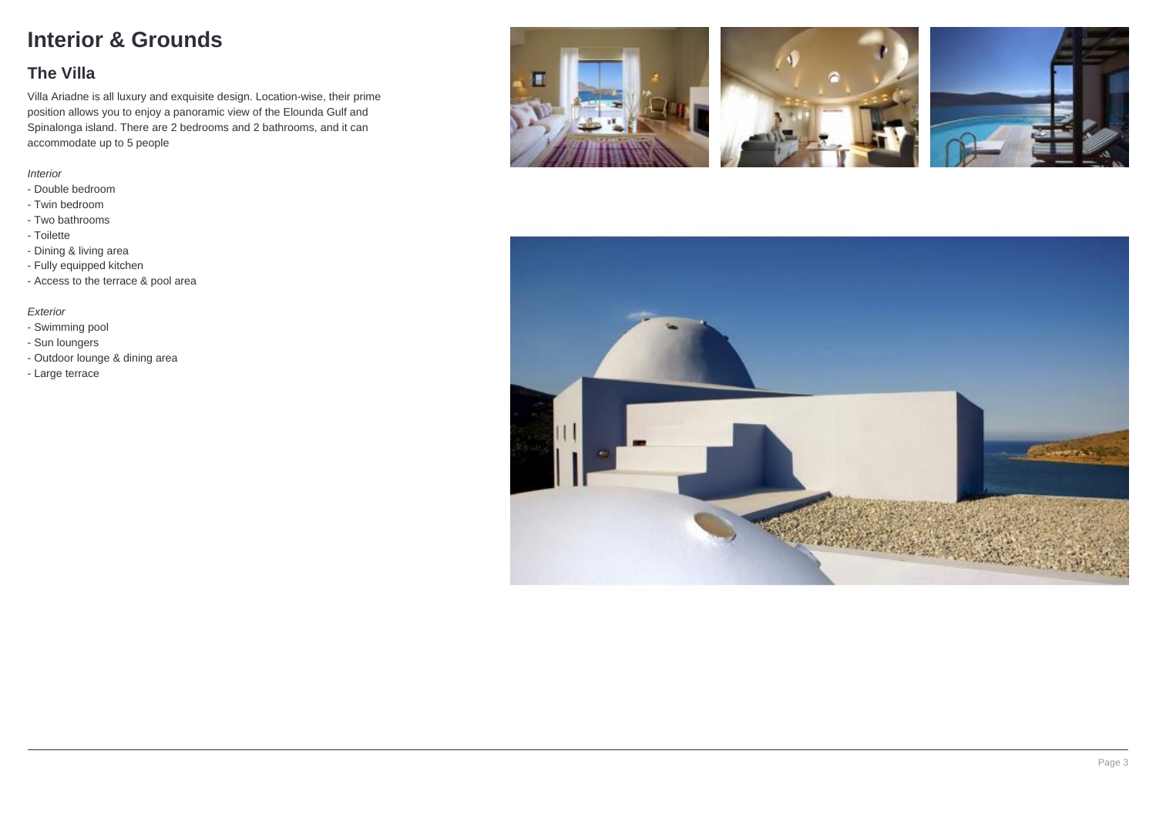## **Interior & Grounds**

#### **The Villa**

Villa Ariadne is all luxury and exquisite design. Location-wise, their prime position allows you to enjoy a panoramic view of the Elounda Gulf and Spinalonga island. There are 2 bedrooms and 2 bathrooms, and it can accommodate up to 5 people

#### Interior

- Double bedroom
- Twin bedroom
- Two bathrooms
- Toilette
- Dining & living area
- Fully equipped kitchen
- Access to the terrace & pool area

#### Exterior

- Swimming pool
- Sun loungers
- Outdoor lounge & dining area
- Large terrace



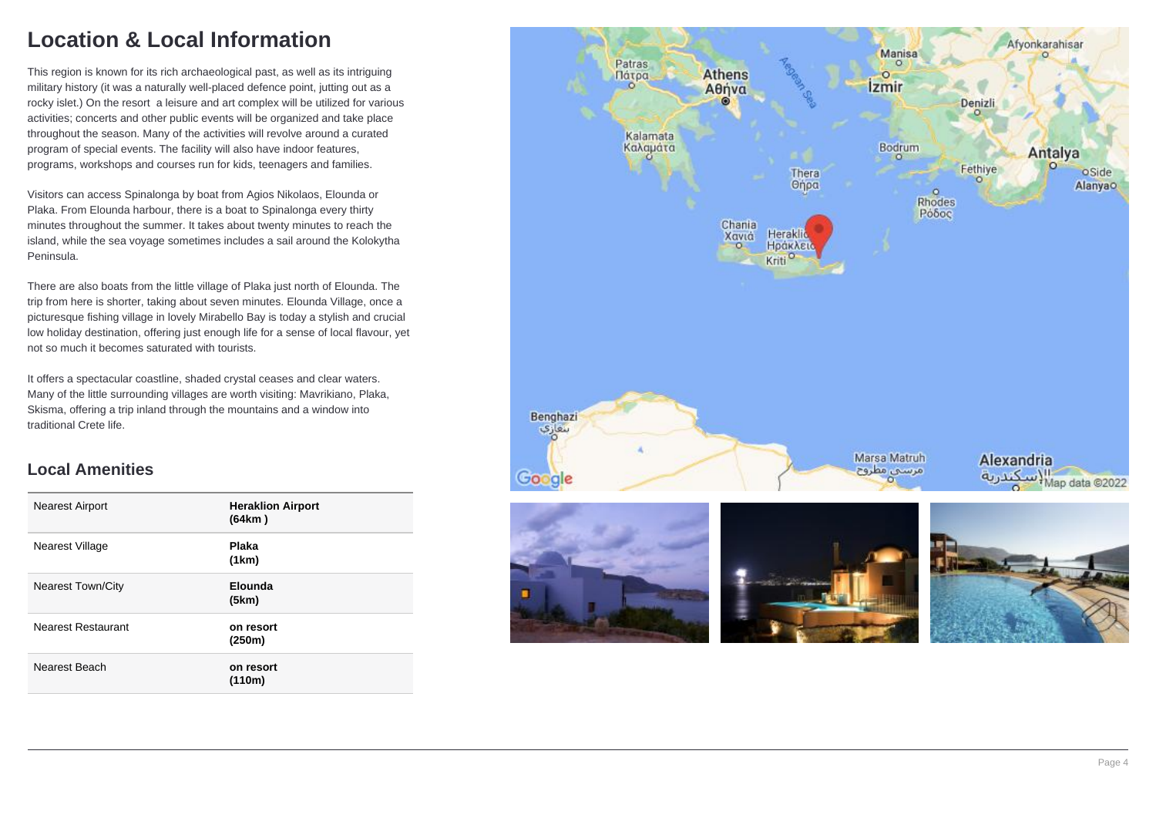## **Location & Local Information**

This region is known for its rich archaeological past, as well as its intriguing military history (it was a naturally well-placed defence point, jutting out as a rocky islet.) On the resort a leisure and art complex will be utilized for various activities; concerts and other public events will be organized and take place throughout the season. Many of the activities will revolve around a curated program of special events. The facility will also have indoor features, programs, workshops and courses run for kids, teenagers and families.

Visitors can access Spinalonga by boat from Agios Nikolaos, Elounda or Plaka. From Elounda harbour, there is a boat to Spinalonga every thirty minutes throughout the summer. It takes about twenty minutes to reach the island, while the sea voyage sometimes includes a sail around the Kolokytha Peninsula.

There are also boats from the little village of Plaka just north of Elounda. The trip from here is shorter, taking about seven minutes. Elounda Village, once a picturesque fishing village in lovely Mirabello Bay is today a stylish and crucial low holiday destination, offering just enough life for a sense of local flavour, yet not so much it becomes saturated with tourists.

It offers a spectacular coastline, shaded crystal ceases and clear waters. Many of the little surrounding villages are worth visiting: Mavrikiano, Plaka, Skisma, offering a trip inland through the mountains and a window into traditional Crete life.

#### **Local Amenities**

| <b>Nearest Airport</b>    | <b>Heraklion Airport</b><br>(64km) |
|---------------------------|------------------------------------|
| Nearest Village           | <b>Plaka</b><br>(1km)              |
| <b>Nearest Town/City</b>  | Elounda<br>(5km)                   |
| <b>Nearest Restaurant</b> | on resort<br>(250m)                |
| Nearest Beach             | on resort<br>(110m)                |

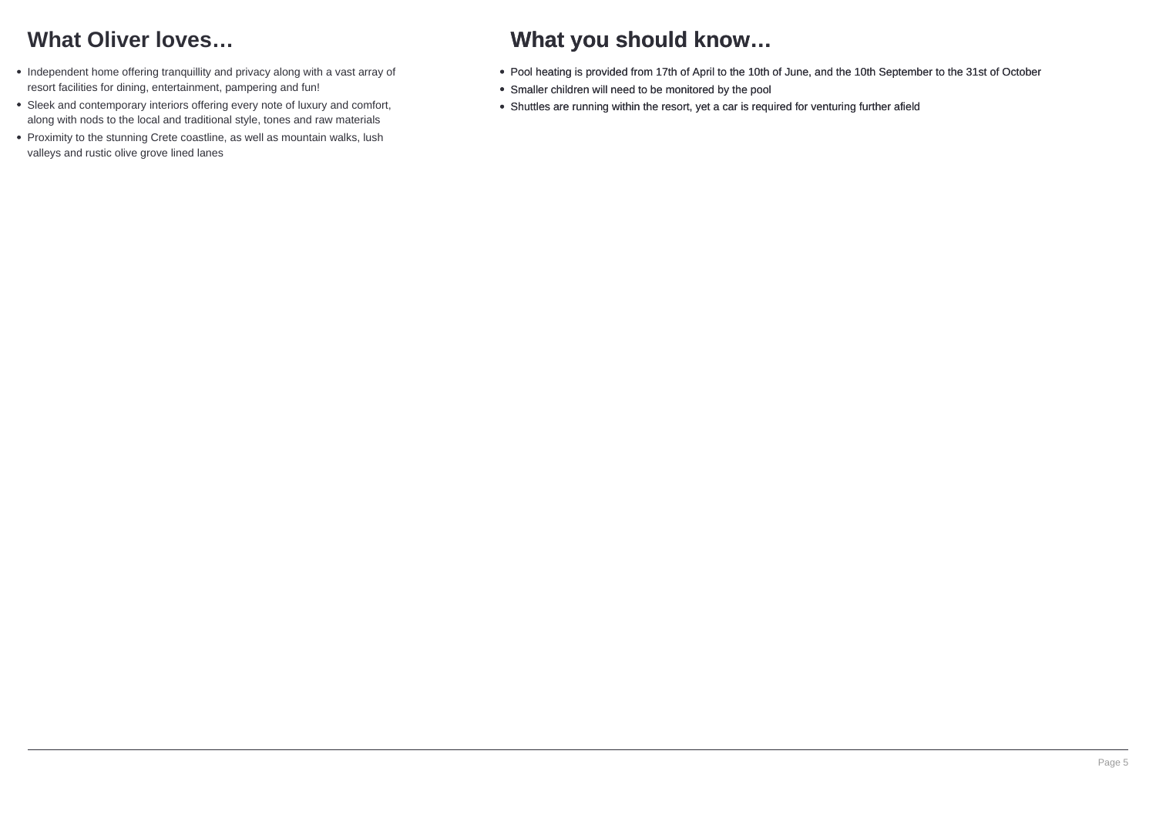## **What Oliver loves…**

- Independent home offering tranquillity and privacy along with a vast array of resort facilities for dining, entertainment, pampering and fun!
- Sleek and contemporary interiors offering every note of luxury and comfort, along with nods to the local and traditional style, tones and raw materials
- Proximity to the stunning Crete coastline, as well as mountain walks, lush valleys and rustic olive grove lined lanes

### **What you should know…**

- Pool heating is provided from 17th of April to the 10th of June, and the 10th September to the 31st of October
- Smaller children will need to be monitored by the pool
- Shuttles are running within the resort, yet a car is required for venturing further afield